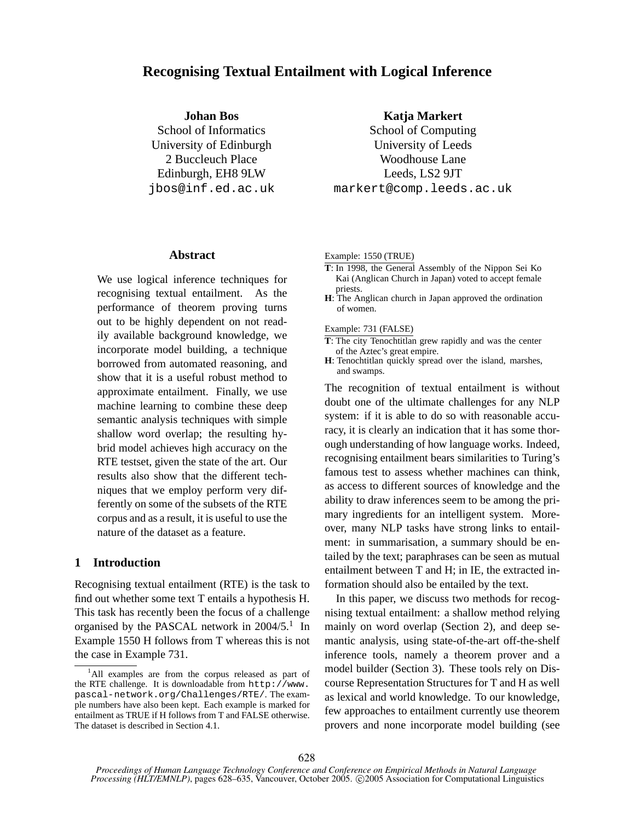# **Recognising Textual Entailment with Logical Inference**

**Johan Bos**

School of Informatics University of Edinburgh 2 Buccleuch Place Edinburgh, EH8 9LW jbos@inf.ed.ac.uk

### School of Computing

University of Leeds Woodhouse Lane Leeds, LS2 9JT markert@comp.leeds.ac.uk

**Katja Markert**

## **Abstract**

We use logical inference techniques for recognising textual entailment. As the performance of theorem proving turns out to be highly dependent on not readily available background knowledge, we incorporate model building, a technique borrowed from automated reasoning, and show that it is a useful robust method to approximate entailment. Finally, we use machine learning to combine these deep semantic analysis techniques with simple shallow word overlap; the resulting hybrid model achieves high accuracy on the RTE testset, given the state of the art. Our results also show that the different techniques that we employ perform very differently on some of the subsets of the RTE corpus and as a result, it is useful to use the nature of the dataset as a feature.

# **1 Introduction**

Recognising textual entailment (RTE) is the task to find out whether some text T entails a hypothesis H. This task has recently been the focus of a challenge organised by the PASCAL network in 2004/5.<sup>1</sup> In Example 1550 H follows from T whereas this is not the case in Example 731.

#### Example: 1550 (TRUE)

- **T**: In 1998, the General Assembly of the Nippon Sei Ko Kai (Anglican Church in Japan) voted to accept female priests.
- **H**: The Anglican church in Japan approved the ordination of women.

#### Example: 731 (FALSE)

- **T**: The city Tenochtitlan grew rapidly and was the center of the Aztec's great empire.
- **H**: Tenochtitlan quickly spread over the island, marshes, and swamps.

The recognition of textual entailment is without doubt one of the ultimate challenges for any NLP system: if it is able to do so with reasonable accuracy, it is clearly an indication that it has some thorough understanding of how language works. Indeed, recognising entailment bears similarities to Turing's famous test to assess whether machines can think, as access to different sources of knowledge and the ability to draw inferences seem to be among the primary ingredients for an intelligent system. Moreover, many NLP tasks have strong links to entailment: in summarisation, a summary should be entailed by the text; paraphrases can be seen as mutual entailment between T and H; in IE, the extracted information should also be entailed by the text.

In this paper, we discuss two methods for recognising textual entailment: a shallow method relying mainly on word overlap (Section 2), and deep semantic analysis, using state-of-the-art off-the-shelf inference tools, namely a theorem prover and a model builder (Section 3). These tools rely on Discourse Representation Structures for T and H as well as lexical and world knowledge. To our knowledge, few approaches to entailment currently use theorem provers and none incorporate model building (see

<sup>&</sup>lt;sup>1</sup>All examples are from the corpus released as part of the RTE challenge. It is downloadable from  $http://www.$ pascal-network.org/Challenges/RTE/. The example numbers have also been kept. Each example is marked for entailment as TRUE if H follows from T and FALSE otherwise. The dataset is described in Section 4.1.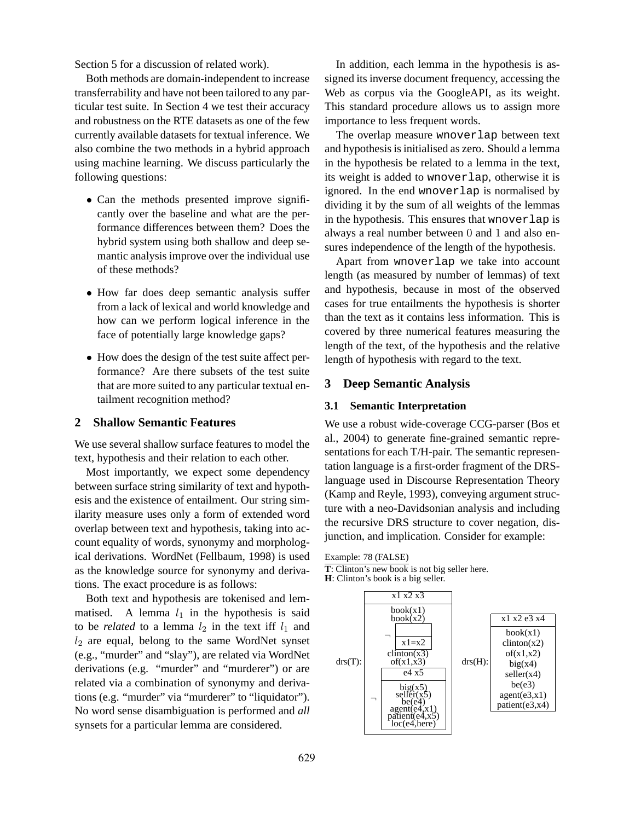Section 5 for a discussion of related work).

Both methods are domain-independent to increase transferrability and have not been tailored to any particular test suite. In Section 4 we test their accuracy and robustness on the RTE datasets as one of the few currently available datasets for textual inference. We also combine the two methods in a hybrid approach using machine learning. We discuss particularly the following questions:

- Can the methods presented improve significantly over the baseline and what are the performance differences between them? Does the hybrid system using both shallow and deep semantic analysis improve over the individual use of these methods?
- How far does deep semantic analysis suffer from a lack of lexical and world knowledge and how can we perform logical inference in the face of potentially large knowledge gaps?
- How does the design of the test suite affect performance? Are there subsets of the test suite that are more suited to any particular textual entailment recognition method?

## **2 Shallow Semantic Features**

We use several shallow surface features to model the text, hypothesis and their relation to each other.

Most importantly, we expect some dependency between surface string similarity of text and hypothesis and the existence of entailment. Our string similarity measure uses only a form of extended word overlap between text and hypothesis, taking into account equality of words, synonymy and morphological derivations. WordNet (Fellbaum, 1998) is used as the knowledge source for synonymy and derivations. The exact procedure is as follows:

Both text and hypothesis are tokenised and lemmatised. A lemma  $l_1$  in the hypothesis is said to be *related* to a lemma  $l_2$  in the text iff  $l_1$  and  $l_2$  are equal, belong to the same WordNet synset (e.g., "murder" and "slay"), are related via WordNet derivations (e.g. "murder" and "murderer") or are related via a combination of synonymy and derivations (e.g. "murder" via "murderer" to "liquidator"). No word sense disambiguation is performed and *all* synsets for a particular lemma are considered.

In addition, each lemma in the hypothesis is assigned its inverse document frequency, accessing the Web as corpus via the GoogleAPI, as its weight. This standard procedure allows us to assign more importance to less frequent words.

The overlap measure wnoverlap between text and hypothesis is initialised as zero. Should a lemma in the hypothesis be related to a lemma in the text, its weight is added to wnoverlap, otherwise it is ignored. In the end wnoverlap is normalised by dividing it by the sum of all weights of the lemmas in the hypothesis. This ensures that wnoverlap is always a real number between 0 and 1 and also ensures independence of the length of the hypothesis.

Apart from wnoverlap we take into account length (as measured by number of lemmas) of text and hypothesis, because in most of the observed cases for true entailments the hypothesis is shorter than the text as it contains less information. This is covered by three numerical features measuring the length of the text, of the hypothesis and the relative length of hypothesis with regard to the text.

### **3 Deep Semantic Analysis**

### **3.1 Semantic Interpretation**

We use a robust wide-coverage CCG-parser (Bos et al., 2004) to generate fine-grained semantic representations for each T/H-pair. The semantic representation language is a first-order fragment of the DRSlanguage used in Discourse Representation Theory (Kamp and Reyle, 1993), conveying argument structure with a neo-Davidsonian analysis and including the recursive DRS structure to cover negation, disjunction, and implication. Consider for example:

### Example: 78 (FALSE)

**T**: Clinton's new book is not big seller here.

**H**: Clinton's book is a big seller.

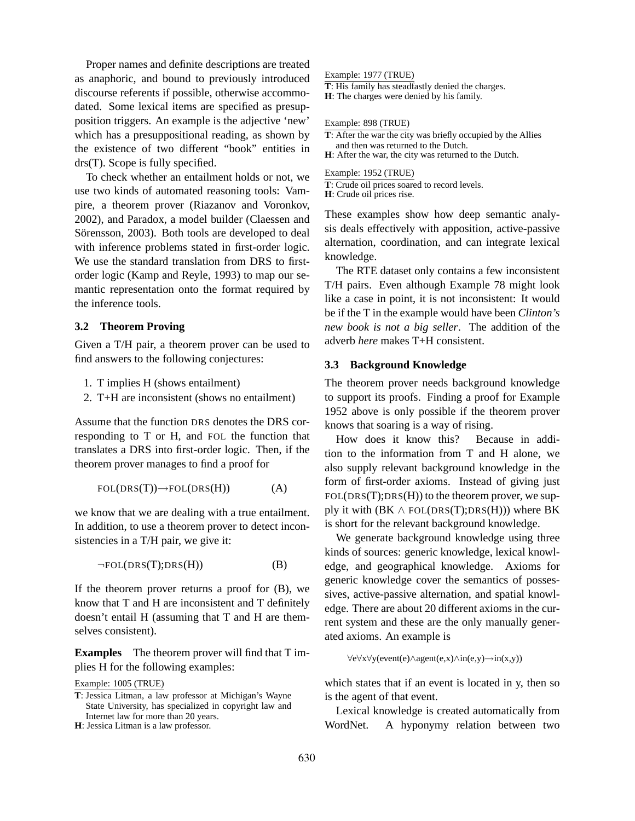Proper names and definite descriptions are treated as anaphoric, and bound to previously introduced discourse referents if possible, otherwise accommodated. Some lexical items are specified as presupposition triggers. An example is the adjective 'new' which has a presuppositional reading, as shown by the existence of two different "book" entities in drs(T). Scope is fully specified.

To check whether an entailment holds or not, we use two kinds of automated reasoning tools: Vampire, a theorem prover (Riazanov and Voronkov, 2002), and Paradox, a model builder (Claessen and Sörensson, 2003). Both tools are developed to deal with inference problems stated in first-order logic. We use the standard translation from DRS to firstorder logic (Kamp and Reyle, 1993) to map our semantic representation onto the format required by the inference tools.

## **3.2 Theorem Proving**

Given a T/H pair, a theorem prover can be used to find answers to the following conjectures:

- 1. T implies H (shows entailment)
- 2. T+H are inconsistent (shows no entailment)

Assume that the function DRS denotes the DRS corresponding to T or H, and FOL the function that translates a DRS into first-order logic. Then, if the theorem prover manages to find a proof for

$$
FOL(DRS(T)) \to FOL(DRS(H))
$$
 (A)

we know that we are dealing with a true entailment. In addition, to use a theorem prover to detect inconsistencies in a T/H pair, we give it:

$$
\neg \text{FOL}(\text{DRS}(T); \text{DRS}(H)) \tag{B}
$$

If the theorem prover returns a proof for  $(B)$ , we know that T and H are inconsistent and T definitely doesn't entail H (assuming that T and H are themselves consistent).

**Examples** The theorem prover will find that T implies H for the following examples:

Example: 1005 (TRUE)

## Example: 1977 (TRUE)

**T**: His family has steadfastly denied the charges.

**H**: The charges were denied by his family.

#### Example: 898 (TRUE)

**T**: After the war the city was briefly occupied by the Allies and then was returned to the Dutch.

**H**: After the war, the city was returned to the Dutch.

Example: 1952 (TRUE)

**T**: Crude oil prices soared to record levels.

**H**: Crude oil prices rise.

These examples show how deep semantic analysis deals effectively with apposition, active-passive alternation, coordination, and can integrate lexical knowledge.

The RTE dataset only contains a few inconsistent T/H pairs. Even although Example 78 might look like a case in point, it is not inconsistent: It would be if the T in the example would have been *Clinton's new book is not a big seller*. The addition of the adverb *here* makes T+H consistent.

### **3.3 Background Knowledge**

The theorem prover needs background knowledge to support its proofs. Finding a proof for Example 1952 above is only possible if the theorem prover knows that soaring is a way of rising.

How does it know this? Because in addition to the information from T and H alone, we also supply relevant background knowledge in the form of first-order axioms. Instead of giving just  $FOL(DRS(T);DRS(H))$  to the theorem prover, we supply it with  $(BK \wedge \text{FOL}(\text{DRS}(T); \text{DRS}(H)))$  where BK is short for the relevant background knowledge.

We generate background knowledge using three kinds of sources: generic knowledge, lexical knowledge, and geographical knowledge. Axioms for generic knowledge cover the semantics of possessives, active-passive alternation, and spatial knowledge. There are about 20 different axioms in the current system and these are the only manually generated axioms. An example is

∀e∀x∀y(event(e)∧agent(e,x)∧in(e,y)→in(x,y))

which states that if an event is located in y, then so is the agent of that event.

Lexical knowledge is created automatically from WordNet. A hyponymy relation between two

**T**: Jessica Litman, a law professor at Michigan's Wayne State University, has specialized in copyright law and Internet law for more than 20 years.

**H**: Jessica Litman is a law professor.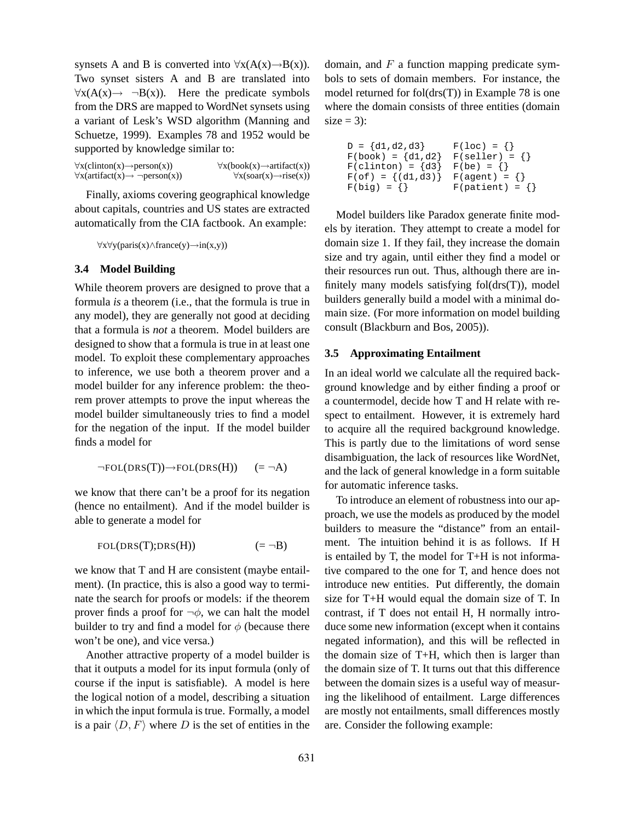synsets A and B is converted into  $\forall x(A(x) \rightarrow B(x))$ . Two synset sisters A and B are translated into  $\forall x(A(x) \rightarrow \neg B(x))$ . Here the predicate symbols from the DRS are mapped to WordNet synsets using a variant of Lesk's WSD algorithm (Manning and Schuetze, 1999). Examples 78 and 1952 would be supported by knowledge similar to:

 $\forall x$ (clinton(x)→person(x))  $\forall x$ (book(x)→artifact(x))<br> $\forall x$ (artifact(x)→ ¬person(x))  $\forall x$ (soar(x)→rise(x))  $\forall x(\text{artifact}(x) \rightarrow \neg \text{person}(x))$ 

Finally, axioms covering geographical knowledge about capitals, countries and US states are extracted automatically from the CIA factbook. An example:

∀x∀y(paris(x)∧france(y)→in(x,y))

### **3.4 Model Building**

While theorem provers are designed to prove that a formula *is* a theorem (i.e., that the formula is true in any model), they are generally not good at deciding that a formula is *not* a theorem. Model builders are designed to show that a formula is true in at least one model. To exploit these complementary approaches to inference, we use both a theorem prover and a model builder for any inference problem: the theorem prover attempts to prove the input whereas the model builder simultaneously tries to find a model for the negation of the input. If the model builder finds a model for

$$
\neg \text{FOL}(\text{DRS}(T)) \rightarrow \text{FOL}(\text{DRS}(H)) \qquad (=\neg A)
$$

we know that there can't be a proof for its negation (hence no entailment). And if the model builder is able to generate a model for

$$
FOL(DRS(T);DRS(H)) \qquad \qquad (= \neg B)
$$

we know that T and H are consistent (maybe entailment). (In practice, this is also a good way to terminate the search for proofs or models: if the theorem prover finds a proof for  $\neg \phi$ , we can halt the model builder to try and find a model for  $\phi$  (because there won't be one), and vice versa.)

Another attractive property of a model builder is that it outputs a model for its input formula (only of course if the input is satisfiable). A model is here the logical notion of a model, describing a situation in which the input formula is true. Formally, a model is a pair  $\langle D, F \rangle$  where D is the set of entities in the domain, and  $F$  a function mapping predicate symbols to sets of domain members. For instance, the model returned for fol(drs(T)) in Example 78 is one where the domain consists of three entities (domain  $size = 3$ :

| $D = \{d1, d2, d3\}$    | $F(loc) = \{\}$            |
|-------------------------|----------------------------|
| $F(book) = \{d1, d2\}$  | $F(self) = \{\}$           |
| $F(clinton) = {d3}$     | $F$ (be) = {}              |
| $F(of) = \{(d1, d3)\}\$ | $F(\text{agent}) = \{\}$   |
| $F(big) = \{\}$         | $F(\text{patient}) = \{\}$ |

Model builders like Paradox generate finite models by iteration. They attempt to create a model for domain size 1. If they fail, they increase the domain size and try again, until either they find a model or their resources run out. Thus, although there are infinitely many models satisfying fol(drs(T)), model builders generally build a model with a minimal domain size. (For more information on model building consult (Blackburn and Bos, 2005)).

## **3.5 Approximating Entailment**

In an ideal world we calculate all the required background knowledge and by either finding a proof or a countermodel, decide how T and H relate with respect to entailment. However, it is extremely hard to acquire all the required background knowledge. This is partly due to the limitations of word sense disambiguation, the lack of resources like WordNet, and the lack of general knowledge in a form suitable for automatic inference tasks.

To introduce an element of robustness into our approach, we use the models as produced by the model builders to measure the "distance" from an entailment. The intuition behind it is as follows. If H is entailed by T, the model for T+H is not informative compared to the one for T, and hence does not introduce new entities. Put differently, the domain size for T+H would equal the domain size of T. In contrast, if T does not entail H, H normally introduce some new information (except when it contains negated information), and this will be reflected in the domain size of T+H, which then is larger than the domain size of T. It turns out that this difference between the domain sizes is a useful way of measuring the likelihood of entailment. Large differences are mostly not entailments, small differences mostly are. Consider the following example: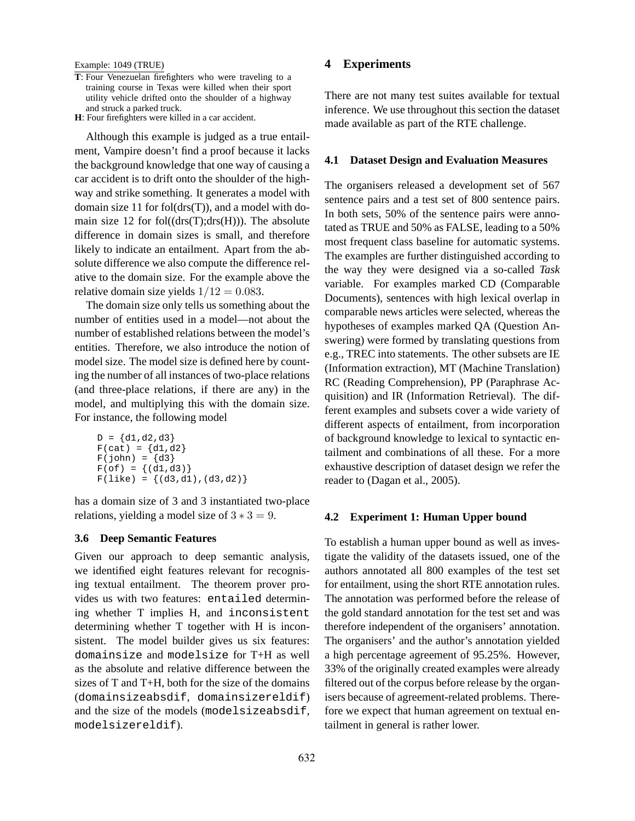#### Example: 1049 (TRUE)

- **T**: Four Venezuelan firefighters who were traveling to a training course in Texas were killed when their sport utility vehicle drifted onto the shoulder of a highway and struck a parked truck.
- **H**: Four firefighters were killed in a car accident.

Although this example is judged as a true entailment, Vampire doesn't find a proof because it lacks the background knowledge that one way of causing a car accident is to drift onto the shoulder of the highway and strike something. It generates a model with domain size 11 for fol(drs(T)), and a model with domain size 12 for fol $((drs(T);drs(H)))$ . The absolute difference in domain sizes is small, and therefore likely to indicate an entailment. Apart from the absolute difference we also compute the difference relative to the domain size. For the example above the relative domain size yields  $1/12 = 0.083$ .

The domain size only tells us something about the number of entities used in a model—not about the number of established relations between the model's entities. Therefore, we also introduce the notion of model size. The model size is defined here by counting the number of all instances of two-place relations (and three-place relations, if there are any) in the model, and multiplying this with the domain size. For instance, the following model

```
D = \{d1, d2, d3\}F(cat) = {d1, d2}F(john) = \{d3\}F(of) = \{(d1, d3)\}\F(like) = \{(d3, d1), (d3, d2)\}\
```
has a domain size of 3 and 3 instantiated two-place relations, yielding a model size of  $3 * 3 = 9$ .

#### **3.6 Deep Semantic Features**

Given our approach to deep semantic analysis, we identified eight features relevant for recognising textual entailment. The theorem prover provides us with two features: entailed determining whether T implies H, and inconsistent determining whether T together with H is inconsistent. The model builder gives us six features: domainsize and modelsize for T+H as well as the absolute and relative difference between the sizes of T and T+H, both for the size of the domains (domainsizeabsdif, domainsizereldif) and the size of the models (modelsizeabsdif, modelsizereldif).

## **4 Experiments**

There are not many test suites available for textual inference. We use throughout this section the dataset made available as part of the RTE challenge.

#### **4.1 Dataset Design and Evaluation Measures**

The organisers released a development set of 567 sentence pairs and a test set of 800 sentence pairs. In both sets, 50% of the sentence pairs were annotated as TRUE and 50% as FALSE, leading to a 50% most frequent class baseline for automatic systems. The examples are further distinguished according to the way they were designed via a so-called *Task* variable. For examples marked CD (Comparable Documents), sentences with high lexical overlap in comparable news articles were selected, whereas the hypotheses of examples marked QA (Question Answering) were formed by translating questions from e.g., TREC into statements. The other subsets are IE (Information extraction), MT (Machine Translation) RC (Reading Comprehension), PP (Paraphrase Acquisition) and IR (Information Retrieval). The different examples and subsets cover a wide variety of different aspects of entailment, from incorporation of background knowledge to lexical to syntactic entailment and combinations of all these. For a more exhaustive description of dataset design we refer the reader to (Dagan et al., 2005).

#### **4.2 Experiment 1: Human Upper bound**

To establish a human upper bound as well as investigate the validity of the datasets issued, one of the authors annotated all 800 examples of the test set for entailment, using the short RTE annotation rules. The annotation was performed before the release of the gold standard annotation for the test set and was therefore independent of the organisers' annotation. The organisers' and the author's annotation yielded a high percentage agreement of 95.25%. However, 33% of the originally created examples were already filtered out of the corpus before release by the organisers because of agreement-related problems. Therefore we expect that human agreement on textual entailment in general is rather lower.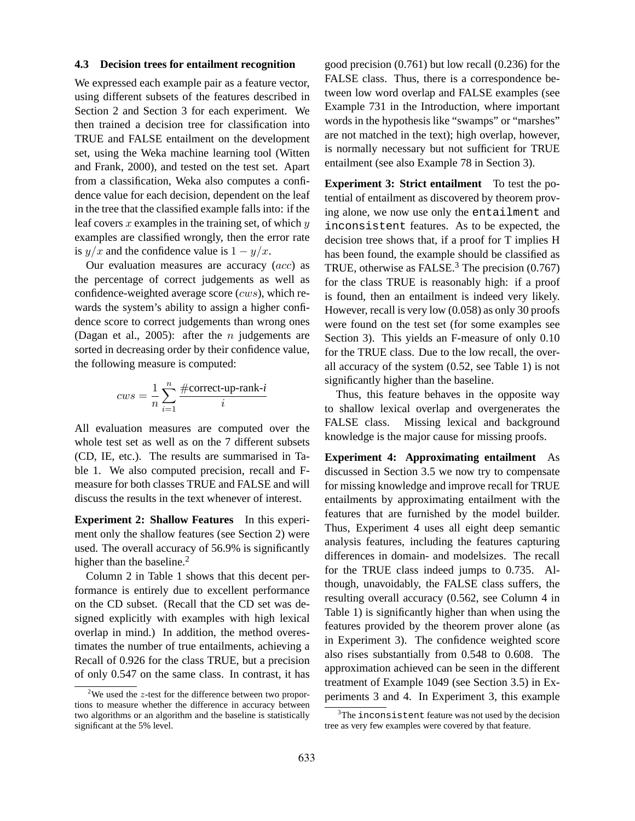#### **4.3 Decision trees for entailment recognition**

We expressed each example pair as a feature vector, using different subsets of the features described in Section 2 and Section 3 for each experiment. We then trained a decision tree for classification into TRUE and FALSE entailment on the development set, using the Weka machine learning tool (Witten and Frank, 2000), and tested on the test set. Apart from a classification, Weka also computes a confidence value for each decision, dependent on the leaf in the tree that the classified example falls into: if the leaf covers x examples in the training set, of which  $y$ examples are classified wrongly, then the error rate is  $y/x$  and the confidence value is  $1 - y/x$ .

Our evaluation measures are accuracy (acc) as the percentage of correct judgements as well as confidence-weighted average score  $(cws)$ , which rewards the system's ability to assign a higher confidence score to correct judgements than wrong ones (Dagan et al., 2005): after the *n* judgements are sorted in decreasing order by their confidence value, the following measure is computed:

$$
cws = \frac{1}{n} \sum_{i=1}^{n} \frac{\text{\#correct-up-rank-}i}{i}
$$

All evaluation measures are computed over the whole test set as well as on the 7 different subsets (CD, IE, etc.). The results are summarised in Table 1. We also computed precision, recall and Fmeasure for both classes TRUE and FALSE and will discuss the results in the text whenever of interest.

**Experiment 2: Shallow Features** In this experiment only the shallow features (see Section 2) were used. The overall accuracy of 56.9% is significantly higher than the baseline. $<sup>2</sup>$ </sup>

Column 2 in Table 1 shows that this decent performance is entirely due to excellent performance on the CD subset. (Recall that the CD set was designed explicitly with examples with high lexical overlap in mind.) In addition, the method overestimates the number of true entailments, achieving a Recall of 0.926 for the class TRUE, but a precision of only 0.547 on the same class. In contrast, it has

good precision (0.761) but low recall (0.236) for the FALSE class. Thus, there is a correspondence between low word overlap and FALSE examples (see Example 731 in the Introduction, where important words in the hypothesis like "swamps" or "marshes" are not matched in the text); high overlap, however, is normally necessary but not sufficient for TRUE entailment (see also Example 78 in Section 3).

**Experiment 3: Strict entailment** To test the potential of entailment as discovered by theorem proving alone, we now use only the entailment and inconsistent features. As to be expected, the decision tree shows that, if a proof for T implies H has been found, the example should be classified as TRUE, otherwise as FALSE. $3$  The precision (0.767) for the class TRUE is reasonably high: if a proof is found, then an entailment is indeed very likely. However, recall is very low (0.058) as only 30 proofs were found on the test set (for some examples see Section 3). This yields an F-measure of only 0.10 for the TRUE class. Due to the low recall, the overall accuracy of the system (0.52, see Table 1) is not significantly higher than the baseline.

Thus, this feature behaves in the opposite way to shallow lexical overlap and overgenerates the FALSE class. Missing lexical and background knowledge is the major cause for missing proofs.

**Experiment 4: Approximating entailment** As discussed in Section 3.5 we now try to compensate for missing knowledge and improve recall for TRUE entailments by approximating entailment with the features that are furnished by the model builder. Thus, Experiment 4 uses all eight deep semantic analysis features, including the features capturing differences in domain- and modelsizes. The recall for the TRUE class indeed jumps to 0.735. Although, unavoidably, the FALSE class suffers, the resulting overall accuracy (0.562, see Column 4 in Table 1) is significantly higher than when using the features provided by the theorem prover alone (as in Experiment 3). The confidence weighted score also rises substantially from 0.548 to 0.608. The approximation achieved can be seen in the different treatment of Example 1049 (see Section 3.5) in Experiments 3 and 4. In Experiment 3, this example

<sup>&</sup>lt;sup>2</sup>We used the  $z$ -test for the difference between two proportions to measure whether the difference in accuracy between two algorithms or an algorithm and the baseline is statistically significant at the 5% level.

<sup>&</sup>lt;sup>3</sup>The inconsistent feature was not used by the decision tree as very few examples were covered by that feature.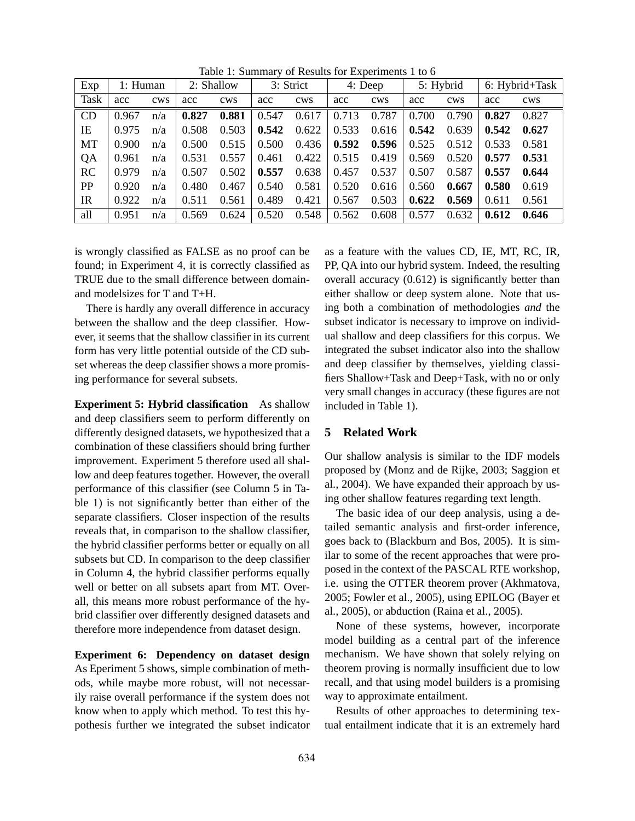| Exp  | 1: Human |            | 2: Shallow |            | 3: Strict |            | 4: Deep |            | 5: Hybrid |            | 6: Hybrid+Task |            |
|------|----------|------------|------------|------------|-----------|------------|---------|------------|-----------|------------|----------------|------------|
| Task | acc      | <b>CWS</b> | acc        | <b>CWS</b> | acc       | <b>CWS</b> | acc     | <b>CWS</b> | acc       | <b>CWS</b> | acc            | <b>CWS</b> |
| CD   | 0.967    | n/a        | 0.827      | 0.881      | 0.547     | 0.617      | 0.713   | 0.787      | 0.700     | 0.790      | 0.827          | 0.827      |
| IE   | 0.975    | n/a        | 0.508      | 0.503      | 0.542     | 0.622      | 0.533   | 0.616      | 0.542     | 0.639      | 0.542          | 0.627      |
| MT   | 0.900    | n/a        | 0.500      | 0.515      | 0.500     | 0.436      | 0.592   | 0.596      | 0.525     | 0.512      | 0.533          | 0.581      |
| QA   | 0.961    | n/a        | 0.531      | 0.557      | 0.461     | 0.422      | 0.515   | 0.419      | 0.569     | 0.520      | 0.577          | 0.531      |
| RC   | 0.979    | n/a        | 0.507      | 0.502      | 0.557     | 0.638      | 0.457   | 0.537      | 0.507     | 0.587      | 0.557          | 0.644      |
| PP   | 0.920    | n/a        | 0.480      | 0.467      | 0.540     | 0.581      | 0.520   | 0.616      | 0.560     | 0.667      | 0.580          | 0.619      |
| IR   | 0.922    | n/a        | 0.511      | 0.561      | 0.489     | 0.421      | 0.567   | 0.503      | 0.622     | 0.569      | 0.611          | 0.561      |
| all  | 0.951    | n/a        | 0.569      | 0.624      | 0.520     | 0.548      | 0.562   | 0.608      | 0.577     | 0.632      | 0.612          | 0.646      |

Table 1: Summary of Results for Experiments 1 to 6

is wrongly classified as FALSE as no proof can be found; in Experiment 4, it is correctly classified as TRUE due to the small difference between domainand modelsizes for T and T+H.

There is hardly any overall difference in accuracy between the shallow and the deep classifier. However, it seems that the shallow classifier in its current form has very little potential outside of the CD subset whereas the deep classifier shows a more promising performance for several subsets.

**Experiment 5: Hybrid classification** As shallow and deep classifiers seem to perform differently on differently designed datasets, we hypothesized that a combination of these classifiers should bring further improvement. Experiment 5 therefore used all shallow and deep features together. However, the overall performance of this classifier (see Column 5 in Table 1) is not significantly better than either of the separate classifiers. Closer inspection of the results reveals that, in comparison to the shallow classifier, the hybrid classifier performs better or equally on all subsets but CD. In comparison to the deep classifier in Column 4, the hybrid classifier performs equally well or better on all subsets apart from MT. Overall, this means more robust performance of the hybrid classifier over differently designed datasets and therefore more independence from dataset design.

**Experiment 6: Dependency on dataset design** As Eperiment 5 shows, simple combination of methods, while maybe more robust, will not necessarily raise overall performance if the system does not know when to apply which method. To test this hypothesis further we integrated the subset indicator as a feature with the values CD, IE, MT, RC, IR, PP, QA into our hybrid system. Indeed, the resulting overall accuracy (0.612) is significantly better than either shallow or deep system alone. Note that using both a combination of methodologies *and* the subset indicator is necessary to improve on individual shallow and deep classifiers for this corpus. We integrated the subset indicator also into the shallow and deep classifier by themselves, yielding classifiers Shallow+Task and Deep+Task, with no or only very small changes in accuracy (these figures are not included in Table 1).

## **5 Related Work**

Our shallow analysis is similar to the IDF models proposed by (Monz and de Rijke, 2003; Saggion et al., 2004). We have expanded their approach by using other shallow features regarding text length.

The basic idea of our deep analysis, using a detailed semantic analysis and first-order inference, goes back to (Blackburn and Bos, 2005). It is similar to some of the recent approaches that were proposed in the context of the PASCAL RTE workshop, i.e. using the OTTER theorem prover (Akhmatova, 2005; Fowler et al., 2005), using EPILOG (Bayer et al., 2005), or abduction (Raina et al., 2005).

None of these systems, however, incorporate model building as a central part of the inference mechanism. We have shown that solely relying on theorem proving is normally insufficient due to low recall, and that using model builders is a promising way to approximate entailment.

Results of other approaches to determining textual entailment indicate that it is an extremely hard